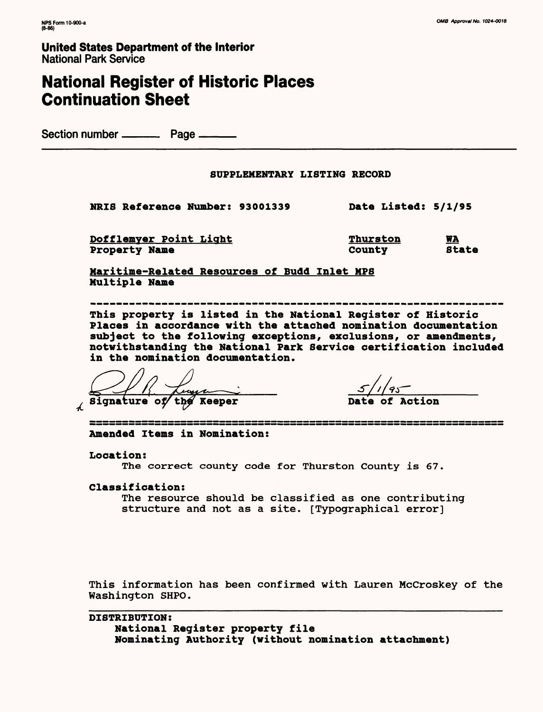# **National Register of Historic Places Continuation Sheet**

Section number ——— Page ———

#### **SUPPLEMENTARY LISTING RECORD**

**NRIS Reference Number: 93001339 Date Listed: 5/1/95**

**Dofflemyer Point Light Thurston WA**<br> **Property Name** Thurston Batate **Property Name** 

**Maritime-Related Resources of Budd Inlet MPS Multiple Name**

------------------------------------**This property is listed in the National Register of Historic Places in accordance with the attached nomination documentation subject to the following exceptions, exclusions, or amendments, notwithstanding the National Park Service certification included in the nomination documentation.**

*Bignature of the Reeper* **Date of Action** 

**Amended Items in Nomination:**

**Location:**

The correct county code for Thurston County is 67.

**Classification:**

The resource should be classified as one contributing structure and not as a site. [Typographical error]

This information has been confirmed with Lauren McCroskey of the Washington SHPO.

**DISTRIBUTION: National Register property file Nominating Authority (without nomination attachment)**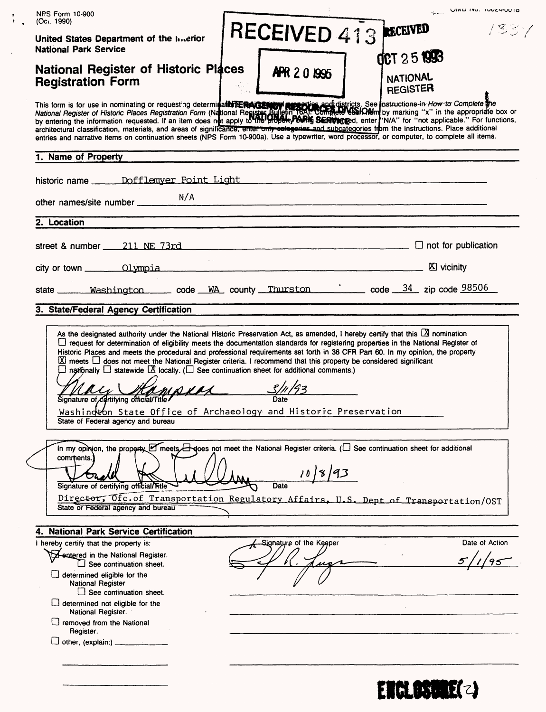| <b>NRS Form 10-900</b>                                                                                                                                                                                                                                                                             |                                    |       |                                                                                                                                                                 |                                    | SALE UIVID ING. TOUCH-OUTO                                                                                                                                                                                                            |
|----------------------------------------------------------------------------------------------------------------------------------------------------------------------------------------------------------------------------------------------------------------------------------------------------|------------------------------------|-------|-----------------------------------------------------------------------------------------------------------------------------------------------------------------|------------------------------------|---------------------------------------------------------------------------------------------------------------------------------------------------------------------------------------------------------------------------------------|
| (Oct. 1990)<br>United States Department of the Interior                                                                                                                                                                                                                                            |                                    |       | RECEIVED 413                                                                                                                                                    |                                    | 1337                                                                                                                                                                                                                                  |
| <b>National Park Service</b>                                                                                                                                                                                                                                                                       |                                    |       |                                                                                                                                                                 | <b>OCT 25 1993</b>                 |                                                                                                                                                                                                                                       |
| <b>National Register of Historic Places</b><br><b>Registration Form</b>                                                                                                                                                                                                                            |                                    |       | APR 20 1995                                                                                                                                                     | <b>NATIONAL</b><br><b>REGISTER</b> |                                                                                                                                                                                                                                       |
| architectural classification, materials, and areas of significance, emer only categories and subcategories from the instructions. Place additional<br>entries and narrative items on continuation sheets (NPS Form 10-900a). Use a typewriter, word processor, or computer, to complete all items. |                                    |       |                                                                                                                                                                 |                                    | This form is for use in nominating or requesting determina <b>tion of the properties and districts</b> . See Instructions in How to Complete the box or National Register of Historic Places Registration Form (National Register Bul |
| 1. Name of Property                                                                                                                                                                                                                                                                                |                                    |       |                                                                                                                                                                 |                                    |                                                                                                                                                                                                                                       |
|                                                                                                                                                                                                                                                                                                    |                                    |       |                                                                                                                                                                 |                                    |                                                                                                                                                                                                                                       |
| other names/site number _________                                                                                                                                                                                                                                                                  |                                    | N/A   |                                                                                                                                                                 |                                    |                                                                                                                                                                                                                                       |
| 2. Location                                                                                                                                                                                                                                                                                        |                                    |       |                                                                                                                                                                 |                                    |                                                                                                                                                                                                                                       |
| street & number $\qquad 211$ NE 73rd                                                                                                                                                                                                                                                               |                                    |       |                                                                                                                                                                 |                                    |                                                                                                                                                                                                                                       |
| city or town <u>Clympia</u> Olympia Superior Clympia Superior Clympia Superior Clympia Superior Clympia Superior Clympia                                                                                                                                                                           |                                    |       |                                                                                                                                                                 |                                    |                                                                                                                                                                                                                                       |
| state <u>Washington</u> code WA county Thurston  code 34 zip code 98506                                                                                                                                                                                                                            |                                    |       |                                                                                                                                                                 |                                    |                                                                                                                                                                                                                                       |
| 3. State/Federal Agency Certification                                                                                                                                                                                                                                                              |                                    |       |                                                                                                                                                                 |                                    |                                                                                                                                                                                                                                       |
|                                                                                                                                                                                                                                                                                                    | State of Federal agency and bureau | MAKRA | Washington State Office of Archaeology and Historic Preservation                                                                                                |                                    |                                                                                                                                                                                                                                       |
| comments.<br>Signature of certifying official/Fitle                                                                                                                                                                                                                                                | State or Federal agency and bureau |       | In my opinion, the property $\Box$ meets $\Box$ does not meet the National Register criteria. ( $\Box$ See continuation sheet for additional<br>10 8 93<br>Date |                                    | Director, Ofc. of Transportation Regulatory Affairs, U.S. Dept of Transportation/OST                                                                                                                                                  |
| 4. National Park Service Certification                                                                                                                                                                                                                                                             |                                    |       |                                                                                                                                                                 |                                    |                                                                                                                                                                                                                                       |
| I hereby certify that the property is:                                                                                                                                                                                                                                                             |                                    |       | Signature of the Keeper                                                                                                                                         |                                    | Date of Action                                                                                                                                                                                                                        |
| to A entered in the National Register.                                                                                                                                                                                                                                                             | $\Box$ See continuation sheet.     |       |                                                                                                                                                                 |                                    |                                                                                                                                                                                                                                       |
| determined eligible for the<br><b>National Register</b>                                                                                                                                                                                                                                            | See continuation sheet.            |       |                                                                                                                                                                 |                                    |                                                                                                                                                                                                                                       |
| determined not eligible for the<br>National Register.                                                                                                                                                                                                                                              |                                    |       |                                                                                                                                                                 |                                    |                                                                                                                                                                                                                                       |
| removed from the National<br>Register.                                                                                                                                                                                                                                                             |                                    |       |                                                                                                                                                                 |                                    |                                                                                                                                                                                                                                       |
| $\Box$ other, (explain:) _____________                                                                                                                                                                                                                                                             |                                    |       |                                                                                                                                                                 |                                    |                                                                                                                                                                                                                                       |
|                                                                                                                                                                                                                                                                                                    |                                    |       |                                                                                                                                                                 |                                    |                                                                                                                                                                                                                                       |
|                                                                                                                                                                                                                                                                                                    |                                    |       |                                                                                                                                                                 |                                    |                                                                                                                                                                                                                                       |
|                                                                                                                                                                                                                                                                                                    |                                    |       |                                                                                                                                                                 |                                    | EIGLESWR(2)                                                                                                                                                                                                                           |

 $\frac{\dot{\mathbf{r}}}{\dot{\mathbf{r}}}$ 

 $\ddot{\phantom{0}}$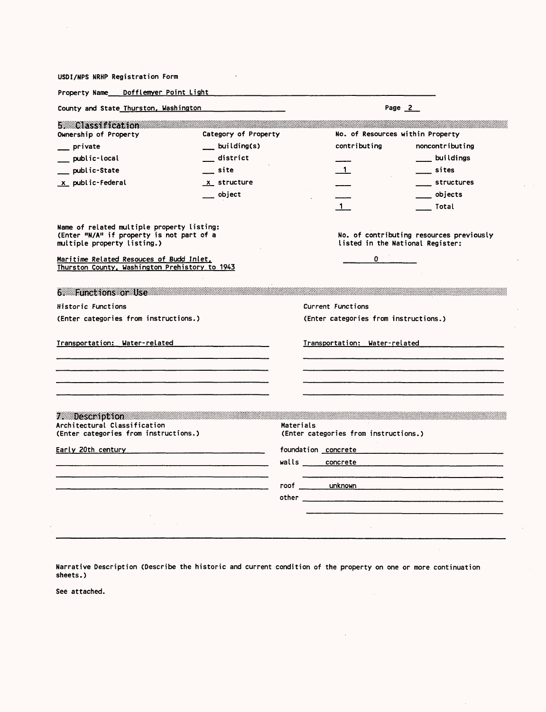| USDI/NPS NRHP Registration Form                                                                                        |                                              |                                                                                                                                                                                                                                                 |                                                              |                                          |
|------------------------------------------------------------------------------------------------------------------------|----------------------------------------------|-------------------------------------------------------------------------------------------------------------------------------------------------------------------------------------------------------------------------------------------------|--------------------------------------------------------------|------------------------------------------|
| Property Name Dofflemyer Point Light                                                                                   |                                              |                                                                                                                                                                                                                                                 |                                                              |                                          |
| County and State Thurston, Washington                                                                                  |                                              |                                                                                                                                                                                                                                                 |                                                              | Page $2$                                 |
| <b>E.</b> Classification<br>Ownership of Property                                                                      | Category of Property                         |                                                                                                                                                                                                                                                 | No. of Resources within Property                             |                                          |
| _ private                                                                                                              | building(s)                                  |                                                                                                                                                                                                                                                 | contributing                                                 | noncontributing                          |
| public-local                                                                                                           | district                                     |                                                                                                                                                                                                                                                 |                                                              | buildings                                |
| public-State                                                                                                           | site                                         |                                                                                                                                                                                                                                                 | $\overline{1}$                                               | sites_                                   |
| x public-Federal                                                                                                       | x structure                                  |                                                                                                                                                                                                                                                 |                                                              | ____ structures                          |
|                                                                                                                        | object                                       |                                                                                                                                                                                                                                                 |                                                              | objects                                  |
|                                                                                                                        |                                              |                                                                                                                                                                                                                                                 | $\mathbf 1$                                                  | Total                                    |
| Name of related multiple property listing:<br>(Enter "N/A" if property is not part of a<br>multiple property listing.) |                                              |                                                                                                                                                                                                                                                 | listed in the National Register:                             | No. of contributing resources previously |
| Maritime Related Resouces of Budd Inlet,<br>Thurston County, Washington Prehistory to 1943                             |                                              |                                                                                                                                                                                                                                                 | $\mathbf{0}$                                                 |                                          |
| 6. Functions or Use                                                                                                    |                                              |                                                                                                                                                                                                                                                 |                                                              |                                          |
| Historic Functions                                                                                                     |                                              |                                                                                                                                                                                                                                                 | Current Functions                                            |                                          |
| (Enter categories from instructions.)                                                                                  |                                              |                                                                                                                                                                                                                                                 | (Enter categories from instructions.)                        |                                          |
| Transportation: Water-related                                                                                          |                                              |                                                                                                                                                                                                                                                 |                                                              | <b>Iransportation:</b> Water-related     |
| 7. Description<br>Architectural Classification<br>(Enter categories from instructions.)<br>Early 20th century          | <u> 1980 - Jan James Land, margaret eta </u> | Materials<br>walls concrete                                                                                                                                                                                                                     | (Enter categories from instructions.)<br>foundation concrete |                                          |
|                                                                                                                        |                                              | roof unknown<br>other the control of the control of the control of the control of the control of the control of the control of the control of the control of the control of the control of the control of the control of the control of the con |                                                              |                                          |
| $\sim 100$ km s $^{-1}$<br>$\mathcal{A}(\mathcal{A})$ and $\mathcal{A}(\mathcal{A})$ and                               |                                              |                                                                                                                                                                                                                                                 | $\sim 10^{-10}$                                              |                                          |

Narrative Description (Describe the historic and current condition of the property on one or more continuation sheets.)

 $\sim 10^7$ 

See attached.

 $\hat{\boldsymbol{\beta}}$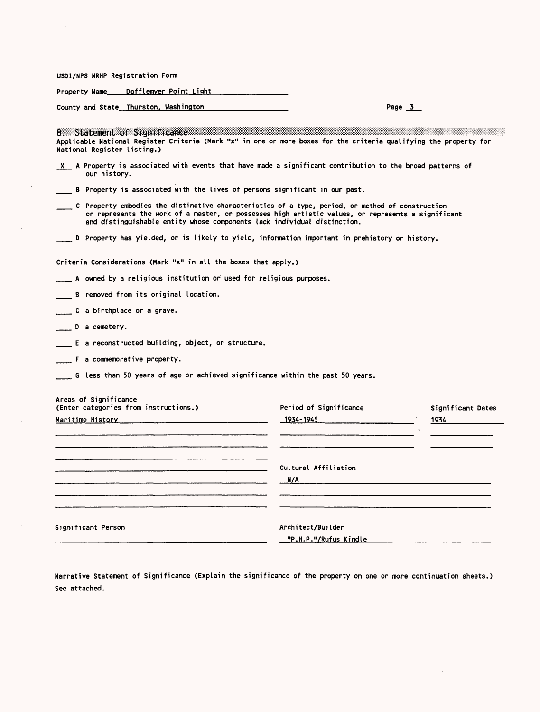|  |  | USDI/NPS NRHP Registration Form |  |
|--|--|---------------------------------|--|
|--|--|---------------------------------|--|

Property Name \_\_\_\_ Dofflemyer Point Light

County and State Thurston, Washington entity and State Thurston. Washington

| 8 Statement of Significance<br>Applicable National Register Criteria (Mark "x" in one or more boxes for the criteria qualifying the property for<br>National Register listing.) |                                                                                                                                                                                                                      |                   |
|---------------------------------------------------------------------------------------------------------------------------------------------------------------------------------|----------------------------------------------------------------------------------------------------------------------------------------------------------------------------------------------------------------------|-------------------|
| X A Property is associated with events that have made a significant contribution to the broad patterns of<br>our history.                                                       |                                                                                                                                                                                                                      |                   |
| B Property is associated with the lives of persons significant in our past.                                                                                                     |                                                                                                                                                                                                                      |                   |
| and distinguishable entity whose components lack individual distinction.                                                                                                        | C Property embodies the distinctive characteristics of a type, period, or method of construction _____________<br>or represents the work of a master, or possesses high artistic values, or represents a significant |                   |
| . D Property has yielded, or is likely to yield, information important in prehistory or history.                                                                                |                                                                                                                                                                                                                      |                   |
| Criteria Considerations (Mark "x" in all the boxes that apply.)                                                                                                                 |                                                                                                                                                                                                                      |                   |
| A owned by a religious institution or used for religious purposes.                                                                                                              |                                                                                                                                                                                                                      |                   |
| B removed from its original location.                                                                                                                                           |                                                                                                                                                                                                                      |                   |
| C a birthplace or a grave.                                                                                                                                                      |                                                                                                                                                                                                                      |                   |
| D a cemetery.                                                                                                                                                                   |                                                                                                                                                                                                                      |                   |
| E a reconstructed building, object, or structure.                                                                                                                               |                                                                                                                                                                                                                      |                   |
| F a commemorative property.                                                                                                                                                     |                                                                                                                                                                                                                      |                   |
| G less than 50 years of age or achieved significance within the past 50 years.                                                                                                  |                                                                                                                                                                                                                      |                   |
| Areas of Significance<br>(Enter categories from instructions.)                                                                                                                  | Period of Significance                                                                                                                                                                                               | Significant Dates |
|                                                                                                                                                                                 | 1934-1945 2001                                                                                                                                                                                                       | 1934              |
|                                                                                                                                                                                 |                                                                                                                                                                                                                      |                   |
|                                                                                                                                                                                 | Cultural Affiliation                                                                                                                                                                                                 |                   |
| <u> 1980 - Januar Maria Barat, martin da basar da shekara ta 1980 ha shekara ta 1980 ha shekara ta 1980 ha shekara </u>                                                         | N/A                                                                                                                                                                                                                  |                   |
|                                                                                                                                                                                 |                                                                                                                                                                                                                      |                   |
| Significant Person                                                                                                                                                              | Architect/Builder                                                                                                                                                                                                    |                   |
|                                                                                                                                                                                 | "P.H.P."/Rufus Kindle                                                                                                                                                                                                |                   |

Narrative Statement of Significance (Explain the significance of the property on one or more continuation sheets.) See attached.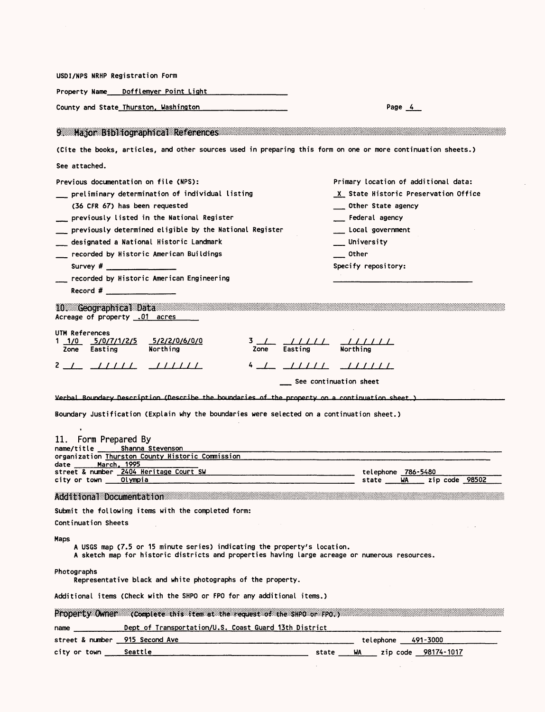| County and State Thurston, Washington                                                                                                                                                                                                                                                                                            |                                                                                                                                                                            |                         |                           | Page $4$                                                                                                      |  |  |
|----------------------------------------------------------------------------------------------------------------------------------------------------------------------------------------------------------------------------------------------------------------------------------------------------------------------------------|----------------------------------------------------------------------------------------------------------------------------------------------------------------------------|-------------------------|---------------------------|---------------------------------------------------------------------------------------------------------------|--|--|
|                                                                                                                                                                                                                                                                                                                                  | 9 Major Bibliographical References Manuscription                                                                                                                           |                         |                           |                                                                                                               |  |  |
|                                                                                                                                                                                                                                                                                                                                  |                                                                                                                                                                            |                         |                           | (Cite the books, articles, and other sources used in preparing this form on one or more continuation sheets.) |  |  |
| See attached.                                                                                                                                                                                                                                                                                                                    |                                                                                                                                                                            |                         |                           |                                                                                                               |  |  |
|                                                                                                                                                                                                                                                                                                                                  | Previous documentation on file (NPS):                                                                                                                                      |                         |                           | Primary location of additional data:                                                                          |  |  |
| preliminary determination of individual listing                                                                                                                                                                                                                                                                                  |                                                                                                                                                                            |                         |                           | X State Historic Preservation Office                                                                          |  |  |
|                                                                                                                                                                                                                                                                                                                                  | (36 CFR 67) has been requested                                                                                                                                             |                         |                           | __ Other State agency                                                                                         |  |  |
|                                                                                                                                                                                                                                                                                                                                  | previously listed in the National Register                                                                                                                                 |                         |                           | __ Federal agency                                                                                             |  |  |
|                                                                                                                                                                                                                                                                                                                                  | $\_$ previously determined eligible by the National Register                                                                                                               |                         |                           | Local government                                                                                              |  |  |
|                                                                                                                                                                                                                                                                                                                                  | ___ designated a National Historic Landmark                                                                                                                                |                         |                           | University                                                                                                    |  |  |
|                                                                                                                                                                                                                                                                                                                                  | __ recorded by Historic American Buildings                                                                                                                                 |                         | Other                     |                                                                                                               |  |  |
|                                                                                                                                                                                                                                                                                                                                  | Survey $\#$                                                                                                                                                                |                         |                           | Specify repository:                                                                                           |  |  |
|                                                                                                                                                                                                                                                                                                                                  | recorded by Historic American Engineering                                                                                                                                  |                         |                           |                                                                                                               |  |  |
|                                                                                                                                                                                                                                                                                                                                  | $\mathsf{Record}$ # $\blacksquare$                                                                                                                                         |                         |                           |                                                                                                               |  |  |
|                                                                                                                                                                                                                                                                                                                                  | 10. Geographical Data<br>Acreage of property .01 acres                                                                                                                     |                         |                           |                                                                                                               |  |  |
| UTM References                                                                                                                                                                                                                                                                                                                   |                                                                                                                                                                            |                         |                           |                                                                                                               |  |  |
| $1/0$ $5/0/7/1/2/5$                                                                                                                                                                                                                                                                                                              | 5/2/2/0/6/0/0                                                                                                                                                              | $3 \perp$               | $\frac{1}{2}$             |                                                                                                               |  |  |
| Zone Easting                                                                                                                                                                                                                                                                                                                     | Northing                                                                                                                                                                   | Zone<br>Easting         |                           | Northing                                                                                                      |  |  |
|                                                                                                                                                                                                                                                                                                                                  | $2$ / ///// ////////                                                                                                                                                       | 4 <u>  11111 111111</u> |                           |                                                                                                               |  |  |
|                                                                                                                                                                                                                                                                                                                                  |                                                                                                                                                                            |                         | __ See continuation sheet |                                                                                                               |  |  |
|                                                                                                                                                                                                                                                                                                                                  |                                                                                                                                                                            |                         |                           |                                                                                                               |  |  |
|                                                                                                                                                                                                                                                                                                                                  |                                                                                                                                                                            |                         |                           |                                                                                                               |  |  |
|                                                                                                                                                                                                                                                                                                                                  | Verbal Boundary Description (Describe the boundaries of the property on a continuation sheet.)                                                                             |                         |                           |                                                                                                               |  |  |
|                                                                                                                                                                                                                                                                                                                                  | Boundary Justification (Explain why the boundaries were selected on a continuation sheet.)                                                                                 |                         |                           |                                                                                                               |  |  |
| $\bullet$                                                                                                                                                                                                                                                                                                                        |                                                                                                                                                                            |                         |                           |                                                                                                               |  |  |
| Form Prepared By                                                                                                                                                                                                                                                                                                                 |                                                                                                                                                                            |                         |                           |                                                                                                               |  |  |
|                                                                                                                                                                                                                                                                                                                                  | name/title Shanna Stevenson<br>organization Thurston County Historic Commission                                                                                            |                         |                           |                                                                                                               |  |  |
|                                                                                                                                                                                                                                                                                                                                  |                                                                                                                                                                            |                         |                           |                                                                                                               |  |  |
|                                                                                                                                                                                                                                                                                                                                  | Olympia                                                                                                                                                                    |                         |                           | telephone 786-5480<br>state WA<br>zip code 98502                                                              |  |  |
|                                                                                                                                                                                                                                                                                                                                  |                                                                                                                                                                            |                         |                           |                                                                                                               |  |  |
|                                                                                                                                                                                                                                                                                                                                  | Additional Documentation and the Additional                                                                                                                                |                         |                           |                                                                                                               |  |  |
|                                                                                                                                                                                                                                                                                                                                  | Submit the following items with the completed form:                                                                                                                        |                         |                           |                                                                                                               |  |  |
|                                                                                                                                                                                                                                                                                                                                  |                                                                                                                                                                            |                         |                           |                                                                                                               |  |  |
|                                                                                                                                                                                                                                                                                                                                  | A USGS map (7.5 or 15 minute series) indicating the property's location.<br>A sketch map for historic districts and properties having large acreage or numerous resources. |                         |                           |                                                                                                               |  |  |
|                                                                                                                                                                                                                                                                                                                                  | Representative black and white photographs of the property.                                                                                                                |                         |                           |                                                                                                               |  |  |
|                                                                                                                                                                                                                                                                                                                                  | Additional items (Check with the SHPO or FPO for any additional items.)                                                                                                    |                         |                           |                                                                                                               |  |  |
|                                                                                                                                                                                                                                                                                                                                  | Property Owner Complete this item at the request of the SHPO or PPO ) and all all all all all all all all all                                                              |                         |                           |                                                                                                               |  |  |
| 11.<br>city or town $\qquad \qquad \blacksquare$<br>Continuation Sheets<br>Maps<br>Photographs<br>name and the contract of the contract of the contract of the contract of the contract of the contract of the contract of the contract of the contract of the contract of the contract of the contract of the contract of the c |                                                                                                                                                                            |                         |                           |                                                                                                               |  |  |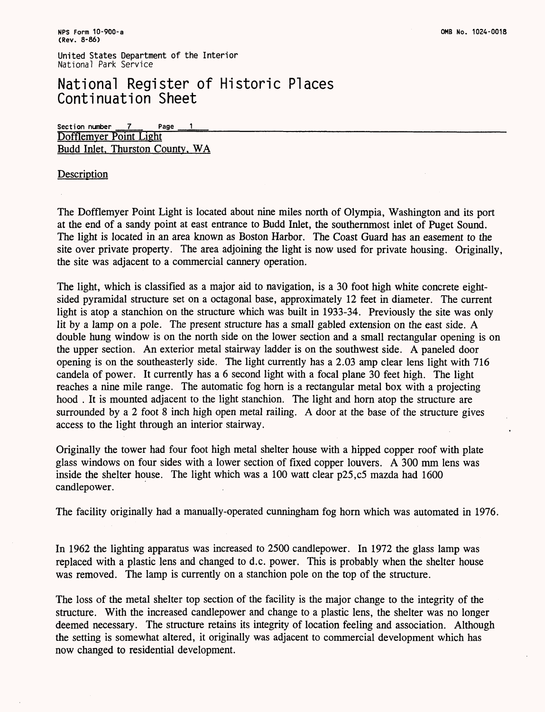## National Register of Historic Places Continuation Sheet

**Section number 7\_ Page** Dofflemver Point Light Budd Inlet. Thurston County. WA

### **Description**

The Dofflemyer Point Light is located about nine miles north of Olympia, Washington and its port at the end of a sandy point at east entrance to Budd Inlet, the southernmost inlet of Puget Sound. The light is located in an area known as Boston Harbor. The Coast Guard has an easement to the site over private property. The area adjoining the light is now used for private housing. Originally, the site was adjacent to a commercial cannery operation.

The light, which is classified as a major aid to navigation, is a 30 foot high white concrete eightsided pyramidal structure set on a octagonal base, approximately 12 feet in diameter. The current light is atop a stanchion on the structure which was built in 1933-34. Previously the site was only lit by a lamp on a pole. The present structure has a small gabled extension on the east side. A double hung window is on the north side on the lower section and a small rectangular opening is on the upper section. An exterior metal stairway ladder is on the southwest side. A paneled door opening is on the southeasterly side. The light currently has a 2.03 amp clear lens light with 716 candela of power. It currently has a 6 second light with a focal plane 30 feet high. The light reaches a nine mile range. The automatic fog horn is a rectangular metal box with a projecting hood . It is mounted adjacent to the light stanchion. The light and horn atop the structure are surrounded by a 2 foot 8 inch high open metal railing. A door at the base of the structure gives access to the light through an interior stairway.

Originally the tower had four foot high metal shelter house with a hipped copper roof with plate glass windows on four sides with a lower section of fixed copper louvers. A 300 mm lens was inside the shelter house. The light which was a 100 watt clear p25,c5 mazda had 1600 candlepower.

The facility originally had a manually-operated cunningham fog horn which was automated in 1976.

In 1962 the lighting apparatus was increased to 2500 candlepower. In 1972 the glass lamp was replaced with a plastic lens and changed to d.c. power. This is probably when the shelter house was removed. The lamp is currently on a stanchion pole on the top of the structure.

The loss of the metal shelter top section of the facility is the major change to the integrity of the structure. With the increased candlepower and change to a plastic lens, the shelter was no longer deemed necessary. The structure retains its integrity of location feeling and association. Although the setting is somewhat altered, it originally was adjacent to commercial development which has now changed to residential development.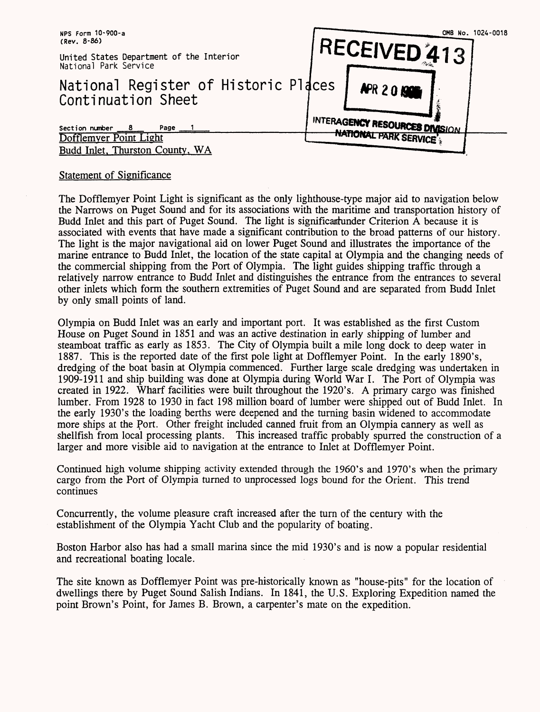

#### Statement of Significance

The Dofflemyer Point Light is significant as the only lighthouse-type major aid to navigation below the Narrows on Puget Sound and for its associations with the maritime and transportation history of Budd Inlet and this part of Puget Sound. The light is significantunder Criterion A because it is associated with events that have made a significant contribution to the broad patterns of our history. The light is the major navigational aid on lower Puget Sound and illustrates the importance of the marine entrance to Budd Inlet, the location of the state capital at Olympia and the changing needs of the commercial shipping from the Port of Olympia. The light guides shipping traffic through a relatively narrow entrance to Budd Inlet and distinguishes the entrance from the entrances to several other inlets which form the southern extremities of Puget Sound and are separated from Budd Inlet by only small points of land.

Olympia on Budd Inlet was an early and important port. It was established as the first Custom House on Puget Sound in 1851 and was an active destination in early shipping of lumber and steamboat traffic as early as 1853. The City of Olympia built a mile long dock to deep water in 1887. This is the reported date of the first pole light at Dofflemyer Point. In the early 1890's, dredging of the boat basin at Olympia commenced. Further large scale dredging was undertaken in 1909-1911 and ship building was done at Olympia during World War I. The Port of Olympia was created in 1922. Wharf facilities were built throughout the 1920's. A primary cargo was finished lumber. From 1928 to 1930 in fact 198 million board of lumber were shipped out of Budd Inlet. In the early 1930's the loading berths were deepened and the turning basin widened to accommodate more ships at the Port. Other freight included canned fruit from an Olympia cannery as well as shellfish from local processing plants. This increased traffic probably spurred the construction of a larger and more visible aid to navigation at the entrance to Inlet at Dofflemyer Point.

Continued high volume shipping activity extended through the 1960's and 1970's when the primary cargo from the Port of Olympia turned to unprocessed logs bound for the Orient. This trend continues

Concurrently, the volume pleasure craft increased after the turn of the century with the establishment of the Olympia Yacht Club and the popularity of boating.

Boston Harbor also has had a small marina since the mid 1930's and is now a popular residential and recreational boating locale.

The site known as Dofflemyer Point was pre-historically known as "house-pits" for the location of dwellings there by Puget Sound Salish Indians. In 1841, the U.S. Exploring Expedition named the point Brown's Point, for James B. Brown, a carpenter's mate on the expedition.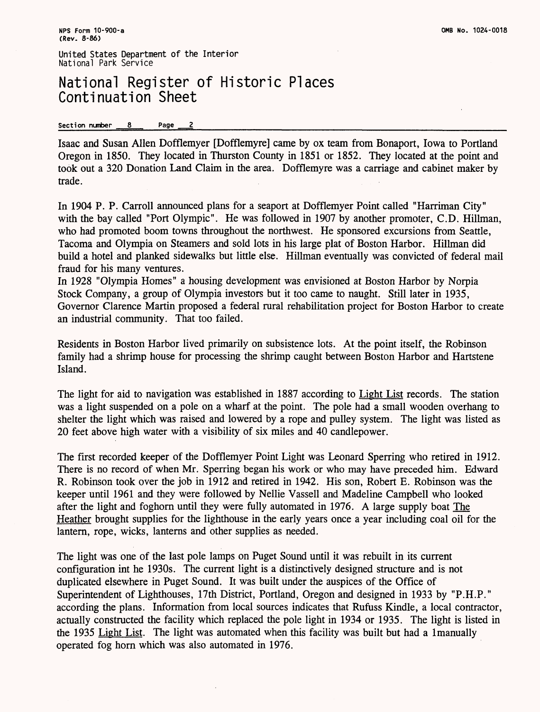## National Register of Historic Places Continuation Sheet

#### Section number 8 Page 2

Isaac and Susan Alien Dofflemyer [Dofflemyre] came by ox team from Bonaport, Iowa to Portland Oregon in 1850. They located in Thurston County in 1851 or 1852. They located at the point and took out a 320 Donation Land Claim in the area. Dofflemyre was a carriage and cabinet maker by trade.

In 1904 P. P. Carroll announced plans for a seaport at Dofflemyer Point called "Harriman City" with the bay called "Port Olympic". He was followed in 1907 by another promoter, C.D. Hillman, who had promoted boom towns throughout the northwest. He sponsored excursions from Seattle, Tacoma and Olympia on Steamers and sold lots in his large plat of Boston Harbor. Hillman did build a hotel and planked sidewalks but little else. Hillman eventually was convicted of federal mail fraud for his many ventures.

In 1928 "Olympia Homes" a housing development was envisioned at Boston Harbor by Norpia Stock Company, a group of Olympia investors but it too came to naught. Still later in 1935, Governor Clarence Martin proposed a federal rural rehabilitation project for Boston Harbor to create an industrial community. That too failed.

Residents in Boston Harbor lived primarily on subsistence lots. At the point itself, the Robinson family had a shrimp house for processing the shrimp caught between Boston Harbor and Hartstene Island.

The light for aid to navigation was established in 1887 according to Light List records. The station was a light suspended on a pole on a wharf at the point. The pole had a small wooden overhang to shelter the light which was raised and lowered by a rope and pulley system. The light was listed as 20 feet above high water with a visibility of six miles and 40 candlepower.

The first recorded keeper of the Dofflemyer Point Light was Leonard Sperring who retired in 1912. There is no record of when Mr. Sperring began his work or who may have preceded him. Edward R. Robinson took over the job in 1912 and retired in 1942. His son, Robert E. Robinson was the keeper until 1961 and they were followed by Nellie Vassell and Madeline Campbell who looked after the light and foghorn until they were fully automated in 1976. A large supply boat The Heather brought supplies for the lighthouse in the early years once a year including coal oil for the lantern, rope, wicks, lanterns and other supplies as needed.

The light was one of the last pole lamps on Puget Sound until it was rebuilt in its current configuration int he 1930s. The current light is a distinctively designed structure and is not duplicated elsewhere in Puget Sound. It was built under the auspices of the Office of Superintendent of Lighthouses, 17th District, Portland, Oregon and designed in 1933 by "P.H.P." according the plans. Information from local sources indicates that Rufuss Kindle, a local contractor, actually constructed the facility which replaced the pole light in 1934 or 1935. The light is listed in the 1935 Light List. The light was automated when this facility was built but had a Imanually operated fog horn which was also automated in 1976.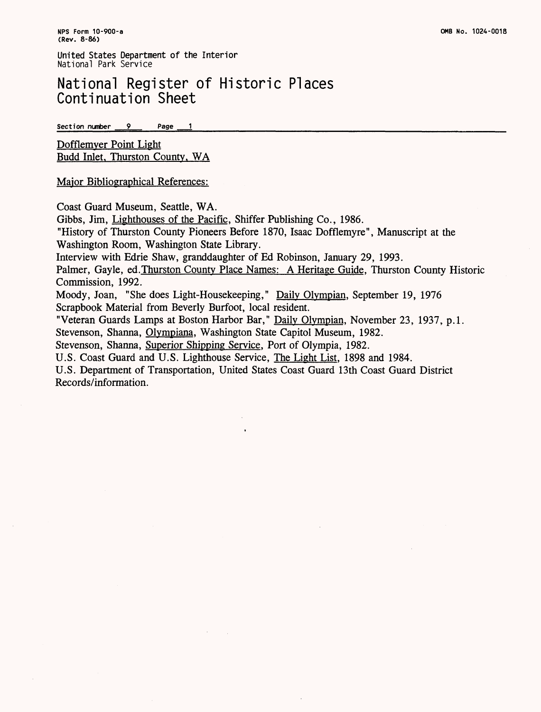## National Register of Historic Places Continuation Sheet

**Section number 9 Page**  $\overline{\mathbf{1}}$ 

Dofflemver Point Light Budd Inlet. Thurston County. WA

Major Bibliographical References:

Coast Guard Museum, Seattle, WA.

Gibbs, Jim, Lighthouses of the Pacific. Sniffer Publishing Co., 1986.

"History of Thurston County Pioneers Before 1870, Isaac Dofflemyre", Manuscript at the Washington Room, Washington State Library.

Interview with Edrie Shaw, granddaughter of Ed Robinson, January 29, 1993.

Palmer, Gayle, ed.Thurston County Place Names: A Heritage Guide. Thurston County Historic Commission, 1992.

Moody, Joan, "She does Light-Housekeeping," Daily Olympian. September 19, 1976 Scrapbook Material from Beverly Burfoot, local resident.

"Veteran Guards Lamps at Boston Harbor Bar," Daily Olympian, November 23, 1937, p.1. Stevenson, Shanna, Olympiana, Washington State Capitol Museum, 1982.

Stevenson, Shanna, Superior Shipping Service. Port of Olympia, 1982.

U.S. Coast Guard and U.S. Lighthouse Service, The Light List. 1898 and 1984.

U.S. Department of Transportation, United States Coast Guard 13th Coast Guard District Records/information.